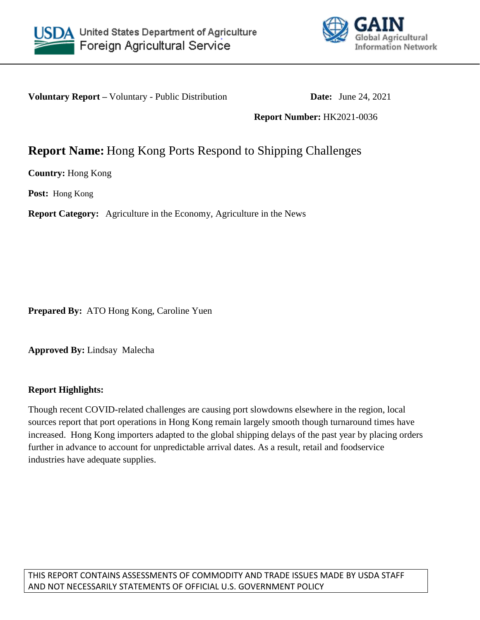



**Voluntary Report** – Voluntary - Public Distribution **Date:** June 24, 2021

## **Report Number:** HK2021-0036

# **Report Name:** Hong Kong Ports Respond to Shipping Challenges

**Country:** Hong Kong

**Post:** Hong Kong

**Report Category:** Agriculture in the Economy, Agriculture in the News

**Prepared By:** ATO Hong Kong, Caroline Yuen

**Approved By:** Lindsay Malecha

### **Report Highlights:**

Though recent COVID-related challenges are causing port slowdowns elsewhere in the region, local sources report that port operations in Hong Kong remain largely smooth though turnaround times have increased. Hong Kong importers adapted to the global shipping delays of the past year by placing orders further in advance to account for unpredictable arrival dates. As a result, retail and foodservice industries have adequate supplies.